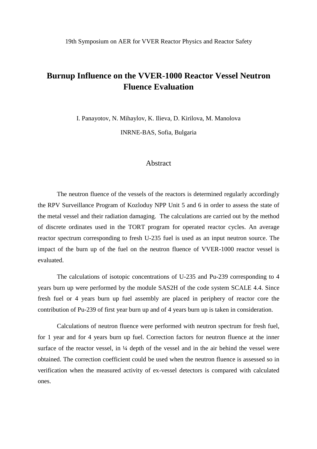# **Burnup Influence on the VVER-1000 Reactor Vessel Neutron Fluence Evaluation**

I. Panayotov, N. Mihaylov, K. Ilieva, D. Kirilova, M. Manolova INRNE-BAS, Sofia, Bulgaria

#### Abstract

The neutron fluence of the vessels of the reactors is determined regularly accordingly the RPV Surveillance Program of Kozloduy NPP Unit 5 and 6 in order to assess the state of the metal vessel and their radiation damaging. The calculations are carried out by the method of discrete ordinates used in the TORT program for operated reactor cycles. An average reactor spectrum corresponding to fresh U-235 fuel is used as an input neutron source. The impact of the burn up of the fuel on the neutron fluence of VVER-1000 reactor vessel is evaluated.

The calculations of isotopic concentrations of U-235 and Pu-239 corresponding to 4 years burn up were performed by the module SAS2H of the code system SCALE 4.4. Since fresh fuel or 4 years burn up fuel assembly are placed in periphery of reactor core the contribution of Pu-239 of first year burn up and of 4 years burn up is taken in consideration.

Calculations of neutron fluence were performed with neutron spectrum for fresh fuel, for 1 year and for 4 years burn up fuel. Correction factors for neutron fluence at the inner surface of the reactor vessel, in  $\frac{1}{4}$  depth of the vessel and in the air behind the vessel were obtained. The correction coefficient could be used when the neutron fluence is assessed so in verification when the measured activity of ex-vessel detectors is compared with calculated ones.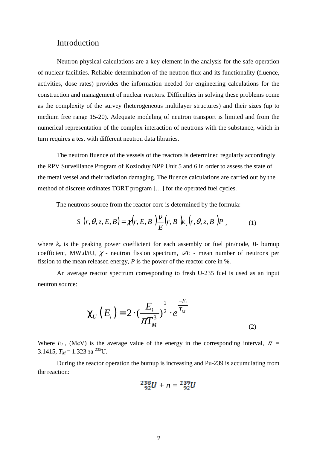#### Introduction

Neutron physical calculations are a key element in the analysis for the safe operation of nuclear facilities. Reliable determination of the neutron flux and its functionality (fluence, activities, dose rates) provides the information needed for engineering calculations for the construction and management of nuclear reactors. Difficulties in solving these problems come as the complexity of the survey (heterogeneous multilayer structures) and their sizes (up to medium free range 15-20). Adequate modeling of neutron transport is limited and from the numerical representation of the complex interaction of neutrons with the substance, which in turn requires a test with different neutron data libraries.

The neutron fluence of the vessels of the reactors is determined regularly accordingly the RPV Surveillance Program of Kozloduy NPP Unit 5 and 6 in order to assess the state of the metal vessel and their radiation damaging. The fluence calculations are carried out by the method of discrete ordinates TORT program […] for the operated fuel cycles.

The neutrons source from the reactor core is determined by the formula:

$$
S(r, \theta, z, E, B) = \chi(r, E, B) \frac{\gamma}{E}(r, B) k_{\nu}(r, \theta, z, B) P , \qquad (1)
$$

where  $k<sub>v</sub>$  is the peaking power coefficient for each assembly or fuel pin/node,  $B$ - burnup coefficient, MW.d/tU,  $\chi$  - neutron fission spectrum,  $V/E$  - mean number of neutrons per fission to the mean released energy, *P* is the power of the reactor core in %.

An average reactor spectrum corresponding to fresh U-235 fuel is used as an input neutron source:

$$
\chi_U(E_i) = 2 \cdot \left(\frac{E_i}{\pi T_M^3}\right)^{\frac{1}{2}} \cdot e^{\frac{-E_i}{T_M}}
$$
\n(2)

Where  $E_i$ , (MeV) is the average value of the energy in the corresponding interval,  $\pi$  = 3.1415,  $T_M = 1.323$  за <sup>235</sup>U.

 During the reactor operation the burnup is increasing and Pu-239 is accumulating from the reaction:

$$
{}^{238}_{92}U + n = {}^{239}_{92}U
$$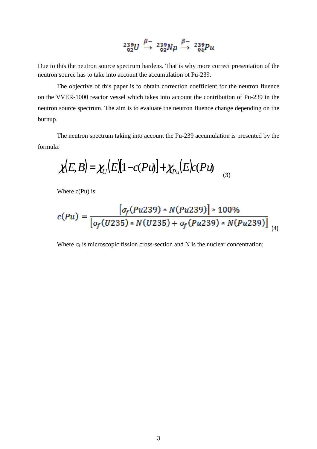$$
^{239}_{92}U \overset{\beta-}{\rightarrow} ^{239}_{93}Np \overset{\beta-}{\rightarrow} ^{239}_{94}Pu
$$

Due to this the neutron source spectrum hardens. That is why more correct presentation of the neutron source has to take into account the accumulation ot Pu-239.

The objective of this paper is to obtain correction coefficient for the neutron fluence on the VVER-1000 reactor vessel which takes into account the contribution of Pu-239 in the neutron source spectrum. The aim is to evaluate the neutron fluence change depending on the burnup.

The neutron spectrum taking into account the Pu-239 accumulation is presented by the formula:

$$
\chi(E,B) = \chi_U(E)[1-c(Pu)] + \chi_{Pu}(E)c(Pu) \qquad (3)
$$

Where  $c(Pu)$  is

$$
c(Pu) = \frac{[\sigma_f(Pu239) * N(Pu239)] * 100\%}{[\sigma_f(U235) * N(U235) + \sigma_f(Pu239) * N(Pu239)]}_{(4)}
$$

Where  $\sigma_f$  is microscopic fission cross-section and N is the nuclear concentration;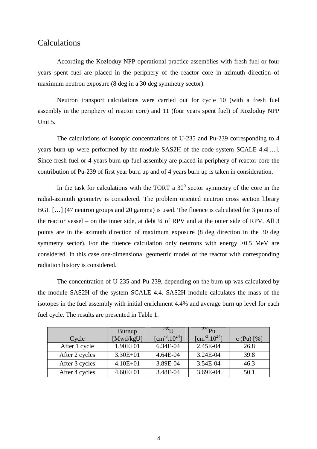### Calculations

According the Kozloduy NPP operational practice assemblies with fresh fuel or four years spent fuel are placed in the periphery of the reactor core in azimuth direction of maximum neutron exposure (8 deg in a 30 deg symmetry sector).

Neutron transport calculations were carried out for cycle 10 (with a fresh fuel assembly in the periphery of reactor core) and 11 (four years spent fuel) of Kozloduy NPP Unit 5.

The calculations of isotopic concentrations of U-235 and Pu-239 corresponding to 4 years burn up were performed by the module SAS2H of the code system SCALE 4.4[…]. Since fresh fuel or 4 years burn up fuel assembly are placed in periphery of reactor core the contribution of Pu-239 of first year burn up and of 4 years burn up is taken in consideration.

In the task for calculations with the TORT a  $30^0$  sector symmetry of the core in the radial-azimuth geometry is considered. The problem oriented neutron cross section library BGL [...] (47 neutron groups and 20 gamma) is used. The fluence is calculated for 3 points of the reactor vessel – on the inner side, at debt ¼ of RPV and at the outer side of RPV. All 3 points are in the azimuth direction of maximum exposure (8 deg direction in the 30 deg symmetry sector). For the fluence calculation only neutrons with energy  $>0.5$  MeV are considered. In this case one-dimensional geometric model of the reactor with corresponding radiation history is considered.

The concentration of U-235 and Pu-239, depending on the burn up was calculated by the module SAS2H of the system SCALE 4.4. SAS2H module calculates the mass of the isotopes in the fuel assembly with initial enrichment 4.4% and average burn up level for each fuel cycle. The results are presented in Table 1.

| Cycle          | Burnup<br>[Mwd/kgU] | $235$ <sub>II</sub><br>$\text{[cm}^{-3}.10^{24}$ ] | $^{239}P_{11}$<br>$\text{[cm}^{-3}.10^{24}$ ] | c (Pu) $[%]$ |
|----------------|---------------------|----------------------------------------------------|-----------------------------------------------|--------------|
| After 1 cycle  | $1.90E + 01$        | 6.34E-04                                           | 2.45E-04                                      | 26.8         |
| After 2 cycles | $3.30E + 01$        | 4.64E-04                                           | 3.24E-04                                      | 39.8         |
| After 3 cycles | $4.10E + 01$        | 3.89E-04                                           | 3.54E-04                                      | 46.3         |
| After 4 cycles | $4.60E + 01$        | 3.48E-04                                           | 3.69E-04                                      | 50.1         |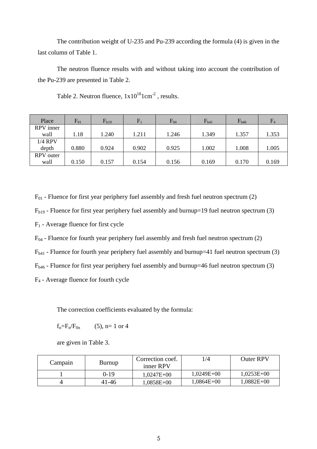The contribution weight of U-235 and Pu-239 according the formula (4) is given in the last column of Table 1.

The neutron fluence results with and without taking into account the contribution of the Pu-239 are presented in Table 2.

| Place     | $F_{01}$ | $F_{b19}$ | $F_1$ | $F_{04}$ | $F_{b41}$ | $F_{b46}$ | F <sub>4</sub> |
|-----------|----------|-----------|-------|----------|-----------|-----------|----------------|
| RPV inner |          |           |       |          |           |           |                |
| wall      | 1.18     | 1.240     | 1.211 | 1.246    | 1.349     | 1.357     | 1.353          |
| 1/4 RPV   |          |           |       |          |           |           |                |
| depth     | 0.880    | 0.924     | 0.902 | 0.925    | 1.002     | 1.008     | 1.005          |
| RPV outer |          |           |       |          |           |           |                |
| wall      | 0.150    | 0.157     | 0.154 | 0.156    | 0.169     | 0.170     | 0.169          |

Table 2. Neutron fluence,  $1x10^{18}1cm^{-2}$ , results.

 $F_{01}$  - Fluence for first year periphery fuel assembly and fresh fuel neutron spectrum (2)

 $F_{b19}$  - Fluence for first year periphery fuel assembly and burnup=19 fuel neutron spectrum (3)

F1 - Average fluence for first cycle

 $F_{04}$  - Fluence for fourth year periphery fuel assembly and fresh fuel neutron spectrum (2)

 $F<sub>b41</sub>$  - Fluence for fourth year periphery fuel assembly and burnup=41 fuel neutron spectrum (3)

 $F_{b46}$  - Fluence for first year periphery fuel assembly and burnup=46 fuel neutron spectrum (3)

F4 - Average fluence for fourth cycle

The correction coefficients evaluated by the formula:

 $f_n = F_n / F_{0n}$  (5), n= 1 or 4

are given in Table 3.

| Campain | <b>Burnup</b> | Correction coef.<br>inner RPV | l/4          | <b>Outer RPV</b> |
|---------|---------------|-------------------------------|--------------|------------------|
|         | 0-19          | $1,0247E+00$                  | $1,0249E+00$ | $1,0253E+00$     |
|         | 41-46         | 1,0858E+00                    | $1,0864E+00$ | $1,0882E+00$     |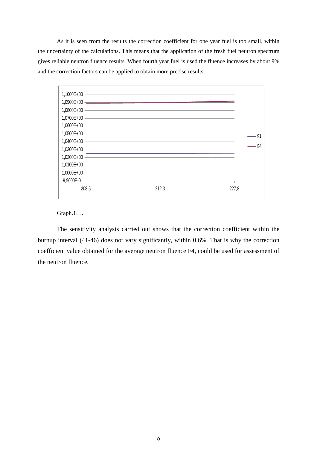As it is seen from the results the correction coefficient for one year fuel is too small, within the uncertainty of the calculations. This means that the application of the fresh fuel neutron spectrum gives reliable neutron fluence results. When fourth year fuel is used the fluence increases by about 9% and the correction factors can be applied to obtain more precise results.



Graph.1….

The sensitivity analysis carried out shows that the correction coefficient within the burnup interval (41-46) does not vary significantly, within 0.6%. That is why the correction coefficient value obtained for the average neutron fluence F4, could be used for assessment of the neutron fluence.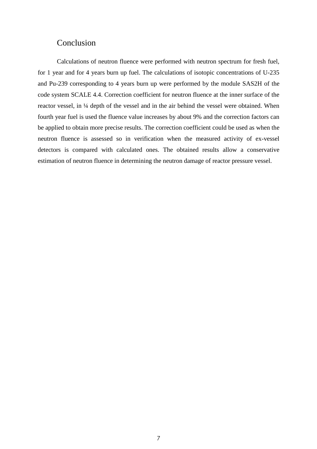### Conclusion

Calculations of neutron fluence were performed with neutron spectrum for fresh fuel, for 1 year and for 4 years burn up fuel. The calculations of isotopic concentrations of U-235 and Pu-239 corresponding to 4 years burn up were performed by the module SAS2H of the code system SCALE 4.4. Correction coefficient for neutron fluence at the inner surface of the reactor vessel, in ¼ depth of the vessel and in the air behind the vessel were obtained. When fourth year fuel is used the fluence value increases by about 9% and the correction factors can be applied to obtain more precise results. The correction coefficient could be used as when the neutron fluence is assessed so in verification when the measured activity of ex-vessel detectors is compared with calculated ones. The obtained results allow a conservative estimation of neutron fluence in determining the neutron damage of reactor pressure vessel.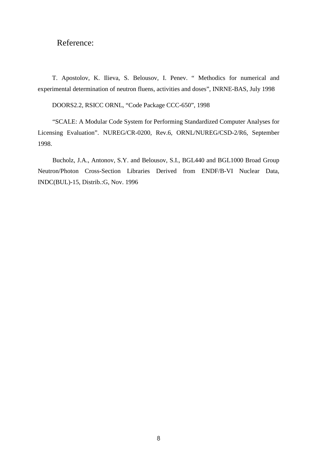## Reference:

T. Apostolov, K. Ilieva, S. Belousov, I. Penev. " Methodics for numerical and experimental determination of neutron fluens, activities and doses", INRNE-BAS, July 1998

DOORS2.2, RSICC ORNL, "Code Package CCC-650", 1998

"SCALE: A Modular Code System for Performing Standardized Computer Analyses for Licensing Evaluation". NUREG/CR-0200, Rev.6, ORNL/NUREG/CSD-2/R6, September 1998.

Bucholz, J.A., Antonov, S.Y. and Belousov, S.I., BGL440 and BGL1000 Broad Group Neutron/Photon Cross-Section Libraries Derived from ENDF/B-VI Nuclear Data, INDC(BUL)-15, Distrib.:G, Nov. 1996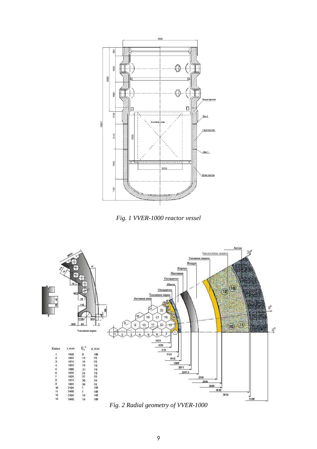